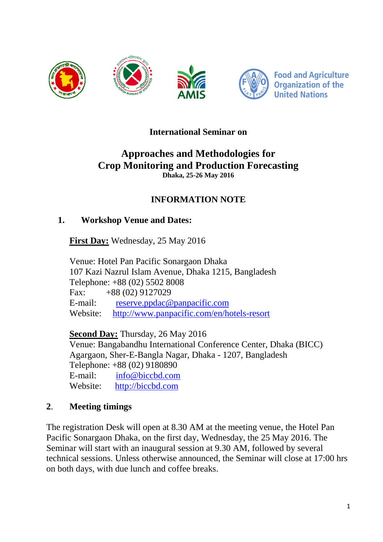

**Food and Agriculture Organization of the United Nations** 

#### **International Seminar on**

#### **Approaches and Methodologies for Crop Monitoring and Production Forecasting Dhaka, 25-26 May 2016**

## **INFORMATION NOTE**

#### **1. Workshop Venue and Dates:**

**First Day:** Wednesday, 25 May 2016

Venue: Hotel Pan Pacific Sonargaon Dhaka 107 Kazi Nazrul Islam Avenue, Dhaka 1215, Bangladesh Telephone: +88 (02) 5502 8008 Fax:  $+88(02)9127029$ E-mail: [reserve.ppdac@panpacific.com](mailto:reserve.ppdac@panpacific.com)  Website: <http://www.panpacific.com/en/hotels-resort>

**Second Day:** Thursday, 26 May 2016

Venue: Bangabandhu International Conference Center, Dhaka (BICC) Agargaon, Sher-E-Bangla Nagar, Dhaka - 1207, Bangladesh Telephone: +88 (02) 9180890 E-mail: [info@biccbd.com](mailto:info@biccbd.com) 

Website: [http://biccbd.com](http://biccbd.com/) 

## **2**. **Meeting timings**

The registration Desk will open at 8.30 AM at the meeting venue, the Hotel Pan Pacific Sonargaon Dhaka, on the first day, Wednesday, the 25 May 2016. The Seminar will start with an inaugural session at 9.30 AM, followed by several technical sessions. Unless otherwise announced, the Seminar will close at 17:00 hrs on both days, with due lunch and coffee breaks.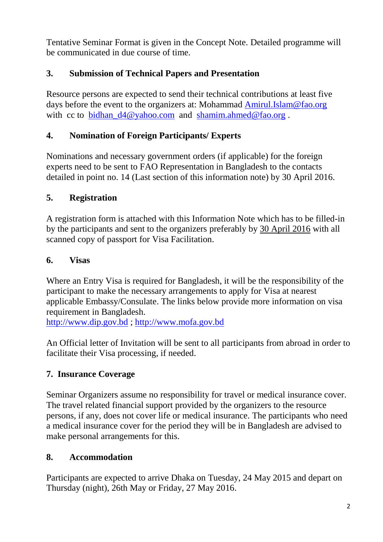Tentative Seminar Format is given in the Concept Note. Detailed programme will be communicated in due course of time.

## **3. Submission of Technical Papers and Presentation**

Resource persons are expected to send their technical contributions at least five days before the event to the organizers at: Mohammad [Amirul.Islam@fao.org](mailto:Amirul.Islam@fao.org) with cc to bidhan  $d4@yahoo.com$  and [shamim.ahmed@fao.org](mailto:shamim.ahmed@fao.org).

## **4. Nomination of Foreign Participants/ Experts**

Nominations and necessary government orders (if applicable) for the foreign experts need to be sent to FAO Representation in Bangladesh to the contacts detailed in point no. 14 (Last section of this information note) by 30 April 2016.

## **5. Registration**

A registration form is attached with this Information Note which has to be filled-in by the participants and sent to the organizers preferably by 30 April 2016 with all scanned copy of passport for Visa Facilitation.

## **6. Visas**

Where an Entry Visa is required for Bangladesh, it will be the responsibility of the participant to make the necessary arrangements to apply for Visa at nearest applicable Embassy/Consulate. The links below provide more information on visa requirement in Bangladesh.

[http://www.dip.gov.bd](http://www.dip.gov.bd/) ; [http://www.mofa.gov.bd](http://www.mofa.gov.bd/)

An Official letter of Invitation will be sent to all participants from abroad in order to facilitate their Visa processing, if needed.

# **7. Insurance Coverage**

Seminar Organizers assume no responsibility for travel or medical insurance cover. The travel related financial support provided by the organizers to the resource persons, if any, does not cover life or medical insurance. The participants who need a medical insurance cover for the period they will be in Bangladesh are advised to make personal arrangements for this.

## **8. Accommodation**

Participants are expected to arrive Dhaka on Tuesday, 24 May 2015 and depart on Thursday (night), 26th May or Friday, 27 May 2016.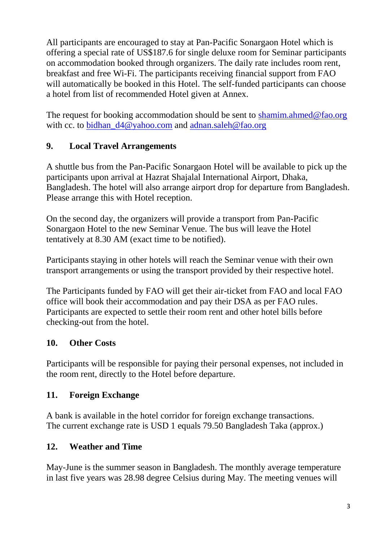All participants are encouraged to stay at Pan-Pacific Sonargaon Hotel which is offering a special rate of US\$187.6 for single deluxe room for Seminar participants on accommodation booked through organizers. The daily rate includes room rent, breakfast and free Wi-Fi. The participants receiving financial support from FAO will automatically be booked in this Hotel. The self-funded participants can choose a hotel from list of recommended Hotel given at Annex.

The request for booking accommodation should be sent to [shamim.ahmed@fao.org](mailto:shamim.ahmed@fao.org) with cc. to bidhan  $d4@yahoo.com$  and [adnan.saleh@fao.org](mailto:adnan.saleh@fao.org)

## **9. Local Travel Arrangements**

A shuttle bus from the Pan-Pacific Sonargaon Hotel will be available to pick up the participants upon arrival at Hazrat Shajalal International Airport, Dhaka, Bangladesh. The hotel will also arrange airport drop for departure from Bangladesh. Please arrange this with Hotel reception.

On the second day, the organizers will provide a transport from Pan-Pacific Sonargaon Hotel to the new Seminar Venue. The bus will leave the Hotel tentatively at 8.30 AM (exact time to be notified).

Participants staying in other hotels will reach the Seminar venue with their own transport arrangements or using the transport provided by their respective hotel.

The Participants funded by FAO will get their air-ticket from FAO and local FAO office will book their accommodation and pay their DSA as per FAO rules. Participants are expected to settle their room rent and other hotel bills before checking-out from the hotel.

## **10. Other Costs**

Participants will be responsible for paying their personal expenses, not included in the room rent, directly to the Hotel before departure.

## **11. Foreign Exchange**

A bank is available in the hotel corridor for foreign exchange transactions. The current exchange rate is USD 1 equals 79.50 Bangladesh Taka (approx.)

## **12. Weather and Time**

May-June is the summer season in Bangladesh. The monthly average temperature in last five years was 28.98 degree Celsius during May. The meeting venues will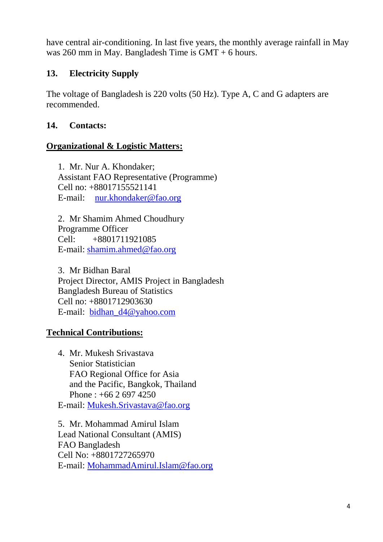have central air-conditioning. In last five years, the monthly average rainfall in May was 260 mm in May. Bangladesh Time is GMT + 6 hours.

## **13. Electricity Supply**

The voltage of Bangladesh is 220 volts (50 Hz). Type A, C and G adapters are recommended.

#### **14. Contacts:**

#### **Organizational & Logistic Matters:**

1. Mr. Nur A. Khondaker; Assistant FAO Representative (Programme) Cell no: +88017155521141 E-mail: [nur.khondaker@fao.org](mailto:nur.khondaker@fao.org)

2. Mr Shamim Ahmed Choudhury Programme Officer Cell: +8801711921085 E-mail: [shamim.ahmed@fao.org](mailto:shamim.ahmed@fao.org)

3. Mr Bidhan Baral Project Director, AMIS Project in Bangladesh Bangladesh Bureau of Statistics Cell no: +8801712903630 E-mail: [bidhan\\_d4@yahoo.com](mailto:bidhan_d4@yahoo.com)

#### **Technical Contributions:**

4. Mr. Mukesh Srivastava Senior Statistician FAO Regional Office for Asia and the Pacific, Bangkok, Thailand Phone : +66 2 697 4250 E-mail: [Mukesh.Srivastava@fao.org](mailto:Mukesh.Srivastava@fao.org)

5. Mr. Mohammad Amirul Islam Lead National Consultant (AMIS) FAO Bangladesh Cell No: +8801727265970 E-mail: [MohammadAmirul.Islam@fao.org](mailto:MohammadAmirul.Islam@fao.org)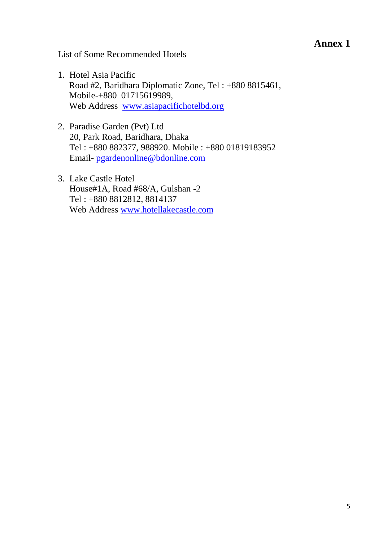#### **Annex 1**

List of Some Recommended Hotels

- 1. Hotel Asia Pacific Road #2, Baridhara Diplomatic Zone, Tel : +880 8815461, Mobile-+880 01715619989, Web Address [www.asiapacifichotelbd.org](http://www.asiapacifichotelbd.org/)
- 2. Paradise Garden (Pvt) Ltd 20, Park Road, Baridhara, Dhaka Tel : +880 882377, 988920. Mobile : +880 01819183952 Email- [pgardenonline@bdonline.com](mailto:pgardenonline@bdonline.com)
- 3. Lake Castle Hotel House#1A, Road #68/A, Gulshan -2 Tel : +880 8812812, 8814137 Web Address [www.hotellakecastle.com](http://www.hotellakecastle.com/)